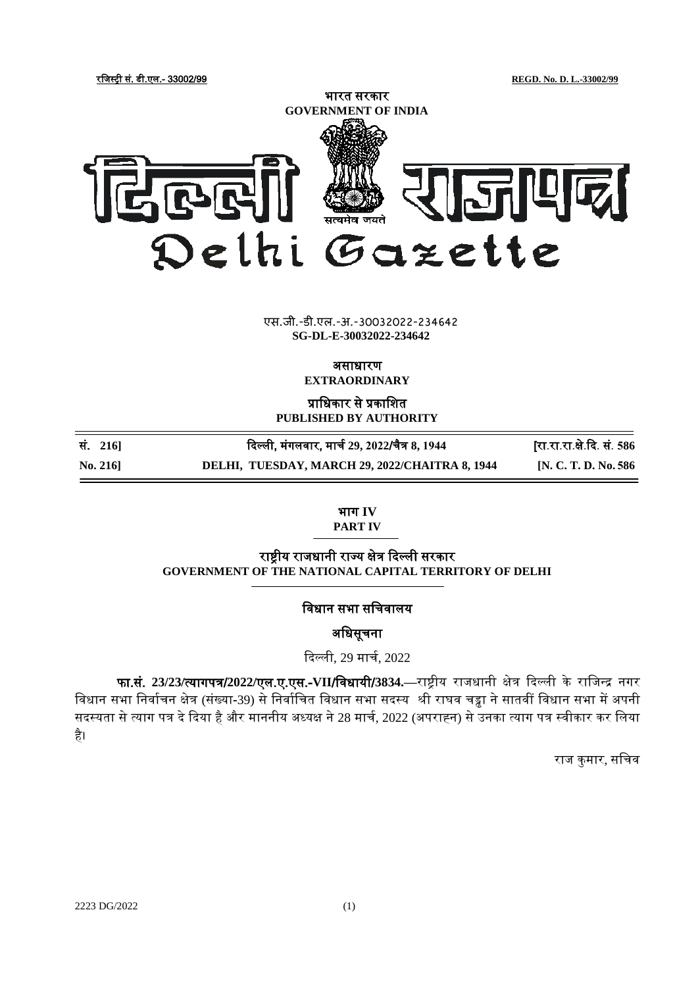रजिस्ट्री सं. डी.एल.- 33002/99 **REGD. No. D. L.-33002/99**



## xxxGIDHxxx एस.जी.-डी.एल.-अ.-30032022-234642 एस.जी.-डी.एल.-अ.-30032022-234642**SG-DL-E-30032022-234642**

असाधारण

**EXTRAORDINARY**

प्राजधकार से प्रकाजित **PUBLISHED BY AUTHORITY**

| $\mathrm{No.}\,216$ | DELHI, TUESDAY, MARCH 29, 2022/CHAITRA 8, 1944 | [N. C. T. D. No. 586]      |
|---------------------|------------------------------------------------|----------------------------|
| सं. 216]            | दिल्ली, मंगलवार, मार्च 29, 2022/चैत्र 8, 1944  | [रा.रा.रा.क्षे.दि. सं. 586 |

भाग **IV**

**PART IV**

राष्ट्रीय राजधानी राज्य क्षेत्र दिल्ली सरकार **GOVERNMENT OF THE NATIONAL CAPITAL TERRITORY OF DELHI**

विधान सभा सचिवालय

अधिसूचना

दिल्ली, 29 मािच, 2022

फा.सं. **23/23/**त्यागपत्र/**2022/**एल.ए.एस.-**VII**/जिधायी/**3834.—**राष्ट्रीय रािधानी क्षेत्र दिल्ली के राजिन्द्र नगर विधान सभा निर्वाचन क्षेत्र (संख्या-39) से निर्वाचित विधान सभा सदस्य श्री राघव चड्ढा ने सातवीं विधान सभा में अपनी सदस्यता से त्याग पत्र दे दिया है और माननीय अध्यक्ष ने 28 मार्च, 2022 (अपराह्न) से उनका त्याग पत्र स्वीकार कर लिया है।

राज कुमार, सचिव